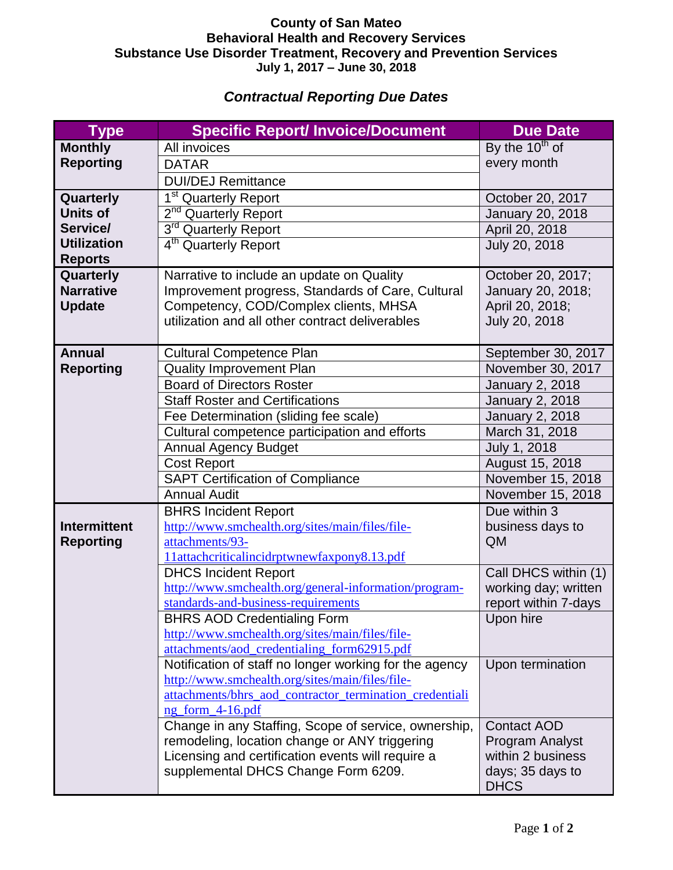## **County of San Mateo Behavioral Health and Recovery Services Substance Use Disorder Treatment, Recovery and Prevention Services July 1, 2017 – June 30, 2018**

## *Contractual Reporting Due Dates*

| <b>Type</b>                       | <b>Specific Report/ Invoice/Document</b>                                                                   | <b>Due Date</b>                             |
|-----------------------------------|------------------------------------------------------------------------------------------------------------|---------------------------------------------|
| <b>Monthly</b>                    | All invoices                                                                                               | By the $10^{th}$ of                         |
| <b>Reporting</b>                  | <b>DATAR</b>                                                                                               | every month                                 |
|                                   | <b>DUI/DEJ Remittance</b>                                                                                  |                                             |
| Quarterly                         | 1 <sup>st</sup> Quarterly Report                                                                           | October 20, 2017                            |
| <b>Units of</b>                   | 2 <sup>nd</sup> Quarterly Report                                                                           | January 20, 2018                            |
| Service/                          | 3rd Quarterly Report                                                                                       | April 20, 2018                              |
| <b>Utilization</b>                | 4 <sup>th</sup> Quarterly Report                                                                           | July 20, 2018                               |
| <b>Reports</b>                    |                                                                                                            |                                             |
| Quarterly                         | Narrative to include an update on Quality                                                                  | October 20, 2017;                           |
| <b>Narrative</b>                  | Improvement progress, Standards of Care, Cultural                                                          | January 20, 2018;                           |
| <b>Update</b>                     | Competency, COD/Complex clients, MHSA                                                                      | April 20, 2018;                             |
|                                   | utilization and all other contract deliverables                                                            | July 20, 2018                               |
|                                   |                                                                                                            |                                             |
| <b>Annual</b><br><b>Reporting</b> | <b>Cultural Competence Plan</b>                                                                            | September 30, 2017                          |
|                                   | <b>Quality Improvement Plan</b><br><b>Board of Directors Roster</b>                                        | November 30, 2017<br><b>January 2, 2018</b> |
|                                   | <b>Staff Roster and Certifications</b>                                                                     | <b>January 2, 2018</b>                      |
|                                   | Fee Determination (sliding fee scale)                                                                      | <b>January 2, 2018</b>                      |
|                                   | Cultural competence participation and efforts                                                              | March 31, 2018                              |
|                                   | <b>Annual Agency Budget</b>                                                                                | July 1, 2018                                |
|                                   | <b>Cost Report</b>                                                                                         | August 15, 2018                             |
|                                   | <b>SAPT Certification of Compliance</b>                                                                    | November 15, 2018                           |
|                                   | <b>Annual Audit</b>                                                                                        | November 15, 2018                           |
|                                   | <b>BHRS Incident Report</b>                                                                                | Due within 3                                |
| <b>Intermittent</b>               | http://www.smchealth.org/sites/main/files/file-                                                            | business days to                            |
| <b>Reporting</b>                  | attachments/93-                                                                                            | QM                                          |
|                                   | 11attachcriticalincidrptwnewfaxpony8.13.pdf                                                                |                                             |
|                                   | <b>DHCS Incident Report</b>                                                                                | Call DHCS within (1)                        |
|                                   | http://www.smchealth.org/general-information/program-                                                      | working day; written                        |
|                                   | standards-and-business-requirements                                                                        | report within 7-days                        |
|                                   | <b>BHRS AOD Credentialing Form</b>                                                                         | Upon hire                                   |
|                                   | http://www.smchealth.org/sites/main/files/file-                                                            |                                             |
|                                   | attachments/aod_credentialing_form62915.pdf                                                                |                                             |
|                                   | Notification of staff no longer working for the agency                                                     | Upon termination                            |
|                                   | http://www.smchealth.org/sites/main/files/file-<br>attachments/bhrs_aod_contractor_termination_credentiali |                                             |
|                                   | ng form 4-16.pdf                                                                                           |                                             |
|                                   | Change in any Staffing, Scope of service, ownership,                                                       | <b>Contact AOD</b>                          |
|                                   | remodeling, location change or ANY triggering                                                              | Program Analyst                             |
|                                   | Licensing and certification events will require a                                                          | within 2 business                           |
|                                   | supplemental DHCS Change Form 6209.                                                                        | days; 35 days to                            |
|                                   |                                                                                                            | <b>DHCS</b>                                 |